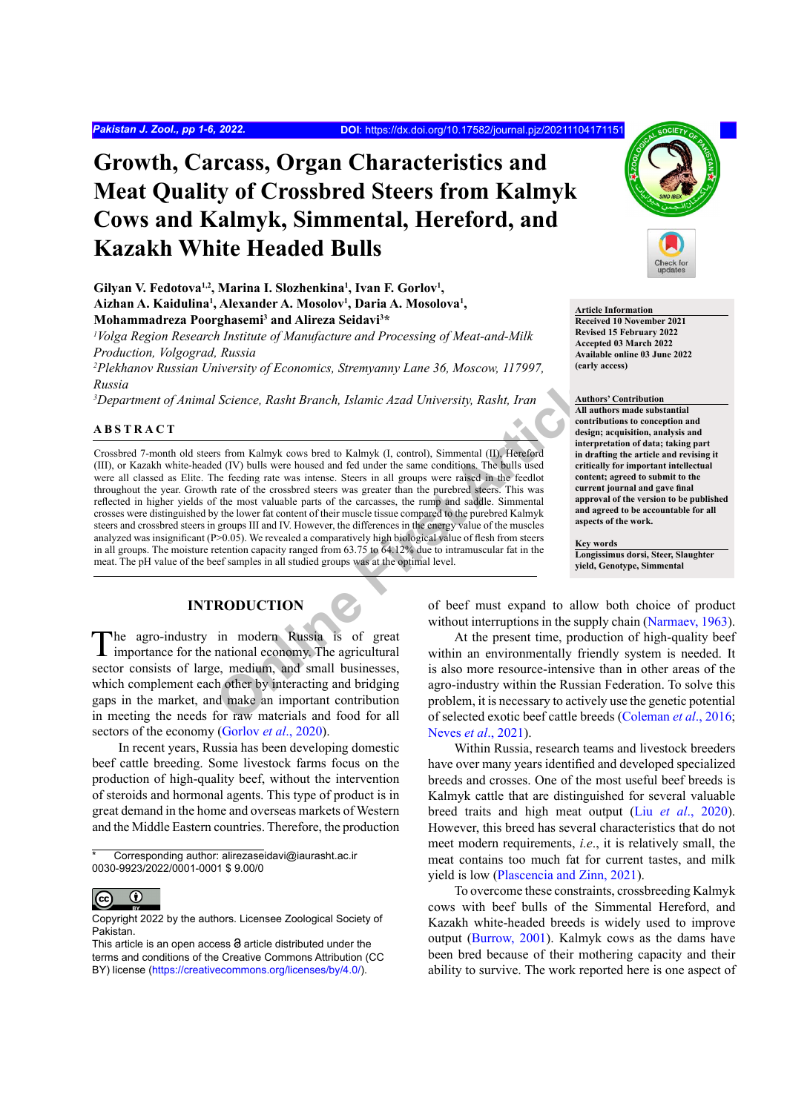# **Growth, Carcass, Organ Characteristics and Meat Quality of Crossbred Steers from Kalmyk Cows and Kalmyk, Simmental, Hereford, and Kazakh White Headed Bulls**

Gilyan V. Fedotova<sup>1,2</sup>, Marina I. Slozhenkina<sup>1</sup>, Ivan F. Gorlov<sup>1</sup>, Aizhan A. Kaidulina<sup>1</sup>, Alexander A. Mosolov<sup>1</sup>, Daria A. Mosolova<sup>1</sup>, **Mohammadreza Poorghasemi3 and Alireza Seidavi3 \***

*1 Volga Region Research Institute of Manufacture and Processing of Meat-and-Milk Production, Volgograd, Russia*

*2 Plekhanov Russian University of Economics, Stremyanny Lane 36, Moscow, 117997, Russia*

*3 Department of Animal Science, Rasht Branch, Islamic Azad University, Rasht, Iran*

## **ABSTRACT**

Science, Rasht Branch, Islamic Azad University, Rasht, Iran and and a statement of the same state of the same conditions. The bulls used interpret of the constraints of the same conditions. The bulls used interpret are to Crossbred 7-month old steers from Kalmyk cows bred to Kalmyk (I, control), Simmental (II), Hereford (III), or Kazakh white-headed (IV) bulls were housed and fed under the same conditions. The bulls used were all classed as Elite. The feeding rate was intense. Steers in all groups were raised in the feedlot throughout the year. Growth rate of the crossbred steers was greater than the purebred steers. This was reflected in higher yields of the most valuable parts of the carcasses, the rump and saddle. Simmental crosses were distinguished by the lower fat content of their muscle tissue compared to the purebred Kalmyk steers and crossbred steers in groups III and IV. However, the differences in the energy value of the muscles analyzed was insignificant (P>0.05). We revealed a comparatively high biological value of flesh from steers in all groups. The moisture retention capacity ranged from 63.75 to 64.12% due to intramuscular fat in the meat. The pH value of the beef samples in all studied groups was at the optimal level.

# **INTRODUCTION**

The agro-industry in modern Russia is of great  $\blacksquare$  importance for the national economy. The agricultural sector consists of large, medium, and small businesses, which complement each other by interacting and bridging gaps in the market, and make an important contribution in meeting the needs for raw materials and food for all sectors of the economy ([Gorlov](#page-4-0) *et al*., 2020).

In recent years, Russia has been developing domestic beef cattle breeding. Some livestock farms focus on the production of high-quality beef, without the intervention of steroids and hormonal agents. This type of product is in great demand in the home and overseas markets of Western and the Middle Eastern countries. Therefore, the production



**Article Information Received 10 November 2021 Revised 15 February 2022 Accepted 03 March 2022 Available online 03 June 2022 (early access)**

**Authors' Contribution All authors made substantial contributions to conception and design; acquisition, analysis and interpretation of data; taking part in drafting the article and revising it critically for important intellectual content; agreed to submit to the current journal and gave final approval of the version to be published and agreed to be accountable for all aspects of the work.**

#### **Key words**

**Longissimus dorsi, Steer, Slaughter yield, Genotype, Simmental**

of beef must expand to allow both choice of product without interruptions in the supply chain ([Narmaev, 1963](#page-4-1)).

At the present time, production of high-quality beef within an environmentally friendly system is needed. It is also more resource-intensive than in other areas of the agro-industry within the Russian Federation. To solve this problem, it is necessary to actively use the genetic potential of selected exotic beef cattle breeds ([Coleman](#page-4-2) *et al*., 2016; [Neves](#page-4-3) *et al*., 2021).

Within Russia, research teams and livestock breeders have over many years identified and developed specialized breeds and crosses. One of the most useful beef breeds is Kalmyk cattle that are distinguished for several valuable breed traits and high meat output (Liu *et al*[., 2020](#page-4-4)). However, this breed has several characteristics that do not meet modern requirements, *i.e*., it is relatively small, the meat contains too much fat for current tastes, and milk yield is low ([Plascencia and Zinn, 2021](#page-4-5)).

To overcome these constraints, crossbreeding Kalmyk cows with beef bulls of the Simmental Hereford, and Kazakh white-headed breeds is widely used to improve output ([Burrow, 2001](#page-4-6)). Kalmyk cows as the dams have been bred because of their mothering capacity and their ability to survive. The work reported here is one aspect of

Corresponding author: alirezaseidavi@iaurasht.ac.ir 0030-9923/2022/0001-0001 \$ 9.00/0

 $\odot$  $|$  (cc

Copyright 2022 by the authors. Licensee Zoological Society of Pakistan.

This article is an open access  $\Theta$  article distributed under the terms and conditions of the Creative Commons Attribution (CC BY) license (https://creativecommons.org/licenses/by/4.0/).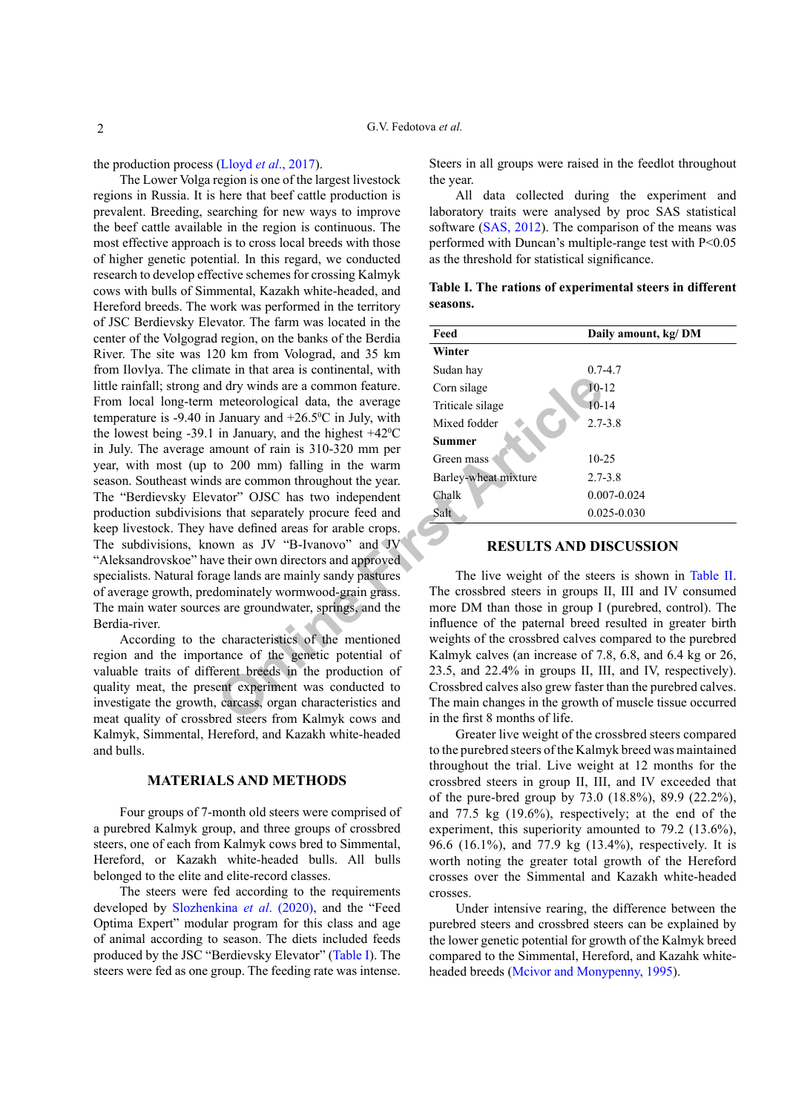the production process (Lloyd *et al*[., 2017](#page-4-7)).

d dry winds are a common feature.<br>
In anuary and +26.5% in July, with<br>
in January and +26.5% in July, with<br>
in January, and the highest +42%<br>
tivixed fodder<br>
in January, and the highest +42%<br>
to 200 mm) falling in the warm The Lower Volga region is one of the largest livestock regions in Russia. It is here that beef cattle production is prevalent. Breeding, searching for new ways to improve the beef cattle available in the region is continuous. The most effective approach is to cross local breeds with those of higher genetic potential. In this regard, we conducted research to develop effective schemes for crossing Kalmyk cows with bulls of Simmental, Kazakh white-headed, and Hereford breeds. The work was performed in the territory of JSC Berdievsky Elevator. The farm was located in the center of the Volgograd region, on the banks of the Berdia River. The site was 120 km from Volograd, and 35 km from Ilovlya. The climate in that area is continental, with little rainfall; strong and dry winds are a common feature. From local long-term meteorological data, the average temperature is  $-9.40$  in January and  $+26.5$ °C in July, with the lowest being  $-39.1$  in January, and the highest  $+42^{\circ}$ C in July. The average amount of rain is 310-320 mm per year, with most (up to 200 mm) falling in the warm season. Southeast winds are common throughout the year. The "Berdievsky Elevator" OJSC has two independent production subdivisions that separately procure feed and keep livestock. They have defined areas for arable crops. The subdivisions, known as JV "B-Ivanovo" and JV "Aleksandrovskoe" have their own directors and approved specialists. Natural forage lands are mainly sandy pastures of average growth, predominately wormwood-grain grass. The main water sources are groundwater, springs, and the Berdia-river.

According to the characteristics of the mentioned region and the importance of the genetic potential of valuable traits of different breeds in the production of quality meat, the present experiment was conducted to investigate the growth, carcass, organ characteristics and meat quality of crossbred steers from Kalmyk cows and Kalmyk, Simmental, Hereford, and Kazakh white-headed and bulls.

#### **MATERIALS AND METHODS**

Four groups of 7-month old steers were comprised of a purebred Kalmyk group, and three groups of crossbred steers, one of each from Kalmyk cows bred to Simmental, Hereford, or Kazakh white-headed bulls. All bulls belonged to the elite and elite-record classes.

The steers were fed according to the requirements developed by [Slozhenkina](#page-5-0) *et al*. (2020), and the "Feed Optima Expert" modular program for this class and age of animal according to season. The diets included feeds produced by the JSC "Berdievsky Elevator" ([Table I\)](#page-1-0). The steers were fed as one group. The feeding rate was intense.

Steers in all groups were raised in the feedlot throughout the year.

All data collected during the experiment and laboratory traits were analysed by proc SAS statistical software ([SAS, 2012](#page-4-8)). The comparison of the means was performed with Duncan's multiple-range test with P<0.05 as the threshold for statistical significance.

| Feed                 | Daily amount, kg/DM |
|----------------------|---------------------|
| Winter               |                     |
| Sudan hay            | $0.7 - 4.7$         |
| Corn silage          | $10 - 12$           |
| Triticale silage     | $10 - 14$           |
| Mixed fodder         | $2.7 - 3.8$         |
| <b>Summer</b>        |                     |
| Green mass           | $10 - 25$           |
| Barley-wheat mixture | $2.7 - 3.8$         |
| Chalk                | $0.007 - 0.024$     |
| Salt                 | $0.025 - 0.030$     |

<span id="page-1-0"></span>**Table I. The rations of experimental steers in different seasons.**

## **RESULTS AND DISCUSSION**

The live weight of the steers is shown in Table II. The crossbred steers in groups II, III and IV consumed more DM than those in group I (purebred, control). The influence of the paternal breed resulted in greater birth weights of the crossbred calves compared to the purebred Kalmyk calves (an increase of 7.8, 6.8, and 6.4 kg or 26, 23.5, and 22.4% in groups II, III, and IV, respectively). Crossbred calves also grew faster than the purebred calves. The main changes in the growth of muscle tissue occurred in the first 8 months of life.

Greater live weight of the crossbred steers compared to the purebred steers of the Kalmyk breed was maintained throughout the trial. Live weight at 12 months for the crossbred steers in group II, III, and IV exceeded that of the pure-bred group by 73.0 (18.8%), 89.9 (22.2%), and 77.5 kg (19.6%), respectively; at the end of the experiment, this superiority amounted to 79.2 (13.6%), 96.6 (16.1%), and 77.9 kg (13.4%), respectively. It is worth noting the greater total growth of the Hereford crosses over the Simmental and Kazakh white-headed crosses.

Under intensive rearing, the difference between the purebred steers and crossbred steers can be explained by the lower genetic potential for growth of the Kalmyk breed compared to the Simmental, Hereford, and Kazahk whiteheaded breeds ([Mcivor and Monypenny, 1995](#page-4-9)).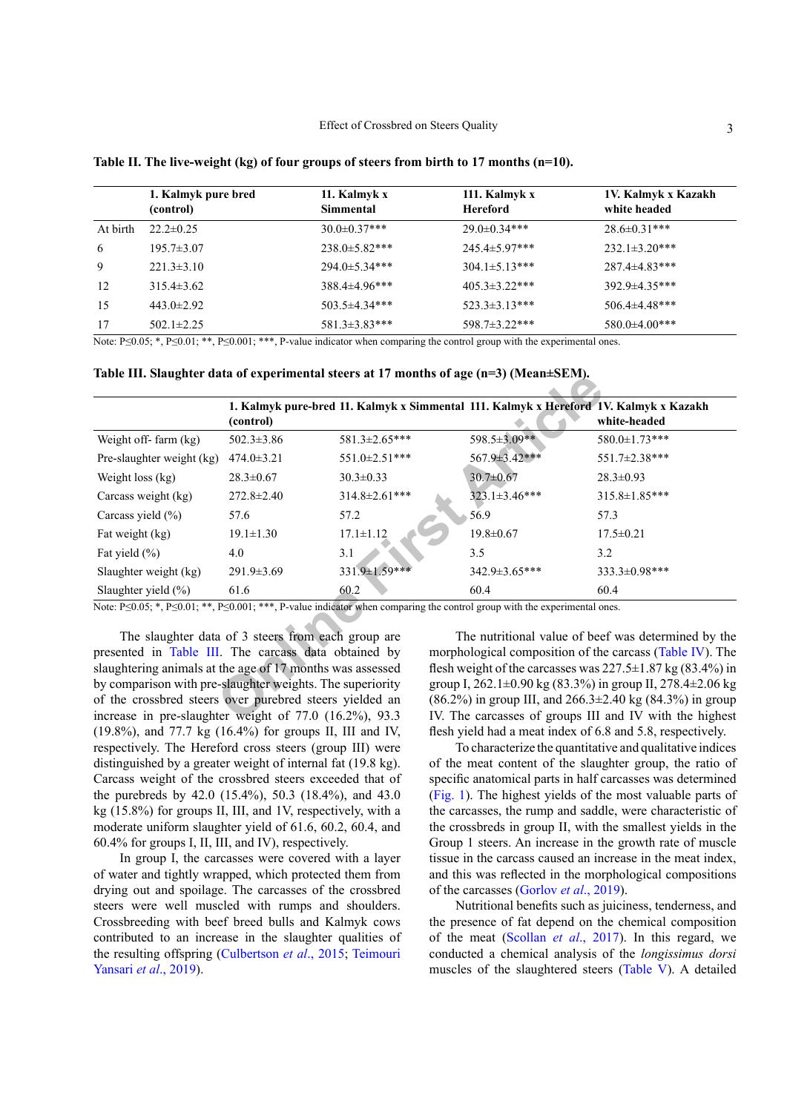|          | 1. Kalmyk pure bred<br>(control) | 11. Kalmyk x<br>Simmental | 111. Kalmyk x<br><b>Hereford</b> | 1V. Kalmyk x Kazakh<br>white headed |
|----------|----------------------------------|---------------------------|----------------------------------|-------------------------------------|
| At birth | $22.2 \pm 0.25$                  | $30.0 \pm 0.37***$        | $29.0 \pm 0.34***$               | $28.6 \pm 0.31***$                  |
| 6        | $195.7 \pm 3.07$                 | $238.0 \pm 5.82$ ***      | $245.4 \pm 5.97$ ***             | $232.1 \pm 3.20$ ***                |
| 9        | $221.3 \pm 3.10$                 | $294.0 \pm 5.34$ ***      | $304.1 \pm 5.13$ ***             | $287.4 \pm 4.83$ ***                |
| 12       | $315.4\pm3.62$                   | $388.4 \pm 4.96$ ***      | $405.3 \pm 3.22$ ***             | 392.9±4.35***                       |
| 15       | $443.0 \pm 2.92$                 | $503.5 \pm 4.34$ ***      | $523.3 \pm 3.13$ ***             | $506.4 \pm 4.48$ ***                |
| 17       | $502.1 \pm 2.25$                 | $581.3 \pm 3.83$ ***      | 598.7±3.22***                    | $580.0 \pm 4.00$ ***                |

**Table II. The live-weight (kg) of four groups of steers from birth to 17 months (n=10).** 

Note: P≤0.05; \*, P≤0.01; \*\*, P≤0.001; \*\*\*, P-value indicator when comparing the control group with the experimental ones.

<span id="page-2-0"></span>**Table III. Slaughter data of experimental steers at 17 months of age (n=3) (Mean±SEM).**

|                                                                                                                                                | (control)                                          |                      |                      | 1. Kalmyk pure-bred 11. Kalmyk x Simmental 111. Kalmyk x Hereford 1V. Kalmyk x Kazakh<br>white-headed |
|------------------------------------------------------------------------------------------------------------------------------------------------|----------------------------------------------------|----------------------|----------------------|-------------------------------------------------------------------------------------------------------|
| Weight off-farm (kg)                                                                                                                           | $502.3 \pm 3.86$                                   | 581.3±2.65***        | 598.5±3.09**         | 580.0±1.73***                                                                                         |
| Pre-slaughter weight (kg)                                                                                                                      | $474.0 \pm 3.21$                                   | 551.0±2.51***        | 567.9±3.42***        | 551.7±2.38***                                                                                         |
| Weight $loss (kg)$                                                                                                                             | $28.3 \pm 0.67$                                    | $30.3 \pm 0.33$      | $30.7 \pm 0.67$      | $28.3 \pm 0.93$                                                                                       |
| Carcass weight (kg)                                                                                                                            | $272.8 \pm 2.40$                                   | $314.8 \pm 2.61$ *** | $323.1 \pm 3.46$ *** | 315.8±1.85***                                                                                         |
| Carcass yield (%)                                                                                                                              | 57.6                                               | 57.2                 | 56.9                 | 57.3                                                                                                  |
| Fat weight (kg)                                                                                                                                | $19.1 \pm 1.30$                                    | $17.1 \pm 1.12$      | $19.8 \pm 0.67$      | $17.5 \pm 0.21$                                                                                       |
| Fat yield $(\% )$                                                                                                                              | 4.0                                                | 3.1                  | 3.5                  | 3.2                                                                                                   |
| Slaughter weight (kg)                                                                                                                          | $291.9 \pm 3.69$                                   | 331.9±1.59***        | 342.9±3.65***        | 333.3±0.98***                                                                                         |
| Slaughter yield $(\% )$                                                                                                                        | 61.6                                               | 60.2                 | 60.4                 | 60.4                                                                                                  |
| Note: $P \le 0.05$ ; *, $P \le 0.01$ ; **, $P \le 0.001$ ; ***, P-value indicator when comparing the control group with the experimental ones. |                                                    |                      |                      |                                                                                                       |
|                                                                                                                                                | The slaughter data of 3 steers from each group are |                      |                      | The nutritional value of beef was determined by the                                                   |
| presented in Table III. The carcass data obtained by                                                                                           |                                                    |                      |                      | morphological composition of the carcass (Table IV). The                                              |
| slaughtering animals at the age of 17 months was assessed                                                                                      |                                                    |                      |                      | flesh weight of the carcasses was $227.5 \pm 1.87$ kg (83.4%) in                                      |
| by comparison with pre-slaughter weights. The superiority                                                                                      |                                                    |                      |                      | group I, 262.1±0.90 kg (83.3%) in group II, 278.4±2.06 kg                                             |
| of the crossbred steers over purebred steers yielded an                                                                                        |                                                    |                      |                      | $(86.2\%)$ in group III, and $266.3\pm2.40$ kg $(84.3\%)$ in group                                    |
| increase in pre-slaughter weight of $77.0$ $(16.2\%)$ , $93.3$                                                                                 |                                                    |                      |                      | IV. The carcasses of groups III and IV with the highest                                               |

The slaughter data of 3 steers from each group are presented in [Table III](#page-2-0). The carcass data obtained by slaughtering animals at the age of 17 months was assessed by comparison with pre-slaughter weights. The superiority of the crossbred steers over purebred steers yielded an increase in pre-slaughter weight of 77.0 (16.2%), 93.3 (19.8%), and 77.7 kg (16.4%) for groups II, III and IV, respectively. The Hereford cross steers (group III) were distinguished by a greater weight of internal fat (19.8 kg). Carcass weight of the crossbred steers exceeded that of the purebreds by 42.0 (15.4%), 50.3 (18.4%), and 43.0 kg (15.8%) for groups II, III, and 1V, respectively, with a moderate uniform slaughter yield of 61.6, 60.2, 60.4, and 60.4% for groups I, II, III, and IV), respectively.

In group I, the carcasses were covered with a layer of water and tightly wrapped, which protected them from drying out and spoilage. The carcasses of the crossbred steers were well muscled with rumps and shoulders. Crossbreeding with beef breed bulls and Kalmyk cows contributed to an increase in the slaughter qualities of the resulting offspring [\(Culbertson](#page-4-10) *et al*., 2015; [Teimouri](#page-5-1) [Yansari](#page-5-1) *et al*., 2019).

The nutritional value of beef was determined by the morphological composition of the carcass [\(Table IV](#page-3-0)). The flesh weight of the carcasses was  $227.5 \pm 1.87$  kg (83.4%) in group I, 262.1±0.90 kg (83.3%) in group II, 278.4±2.06 kg (86.2%) in group III, and  $266.3 \pm 2.40$  kg (84.3%) in group IV. The carcasses of groups III and IV with the highest flesh yield had a meat index of 6.8 and 5.8, respectively.

To characterize the quantitative and qualitative indices of the meat content of the slaughter group, the ratio of specific anatomical parts in half carcasses was determined ([Fig. 1](#page-3-1)). The highest yields of the most valuable parts of the carcasses, the rump and saddle, were characteristic of the crossbreds in group II, with the smallest yields in the Group 1 steers. An increase in the growth rate of muscle tissue in the carcass caused an increase in the meat index, and this was reflected in the morphological compositions of the carcasses ([Gorlov](#page-4-11) *et al*., 2019).

Nutritional benefits such as juiciness, tenderness, and the presence of fat depend on the chemical composition of the meat [\(Scollan](#page-4-12) *et al*., 2017). In this regard, we conducted a chemical analysis of the *longissimus dorsi* muscles of the slaughtered steers [\(Table V\)](#page-3-2). A detailed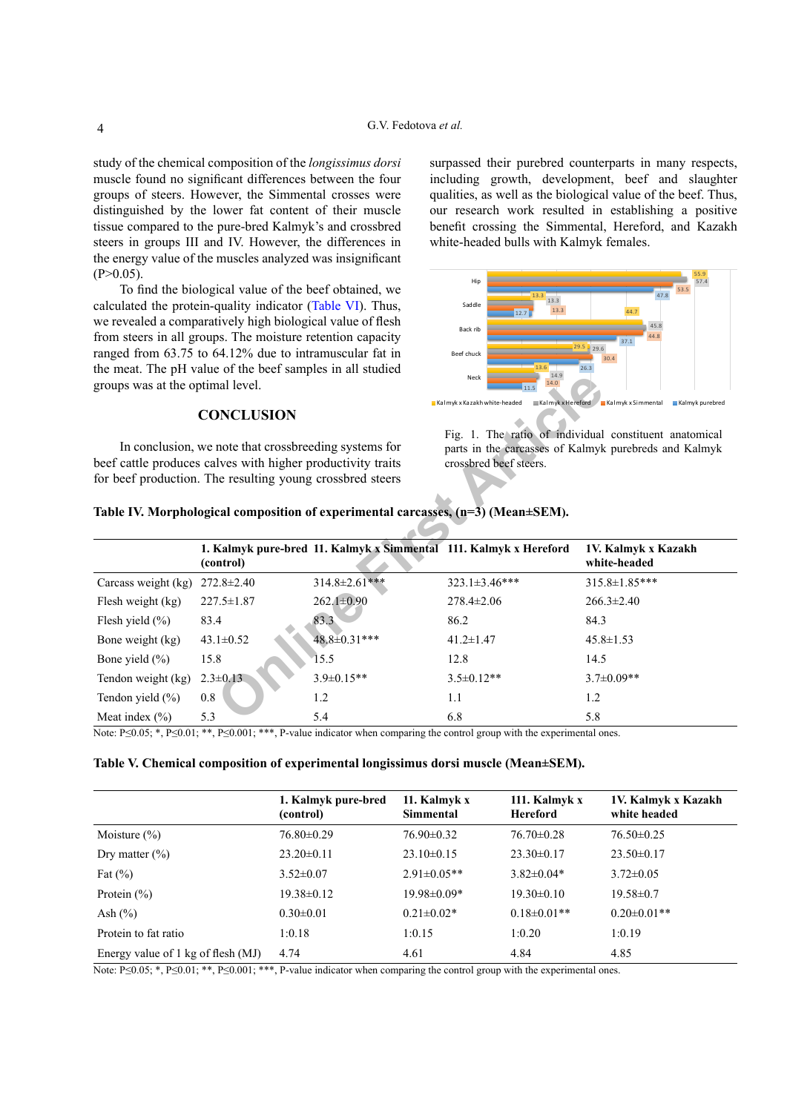study of the chemical composition of the *longissimus dorsi* muscle found no significant differences between the four groups of steers. However, the Simmental crosses were distinguished by the lower fat content of their muscle tissue compared to the pure-bred Kalmyk's and crossbred steers in groups III and IV. However, the differences in the energy value of the muscles analyzed was insignificant  $(P>0.05)$ .

To find the biological value of the beef obtained, we calculated the protein-quality indicator ([Table VI\)](#page-4-13). Thus, we revealed a comparatively high biological value of flesh from steers in all groups. The moisture retention capacity ranged from 63.75 to 64.12% due to intramuscular fat in the meat. The pH value of the beef samples in all studied groups was at the optimal level.

### **CONCLUSION**

surpassed their purebred counterparts in many respects, including growth, development, beef and slaughter qualities, as well as the biological value of the beef. Thus, our research work resulted in establishing a positive benefit crossing the Simmental, Hereford, and Kazakh white-headed bulls with Kalmyk females.

<span id="page-3-1"></span>

<span id="page-3-0"></span>

|  | Table IV. Morphological composition of experimental carcasses, (n=3) (Mean±SEM). |  |
|--|----------------------------------------------------------------------------------|--|
|  |                                                                                  |  |

| groups was at the optimal level. |                                                                            |                                                                                          | 14.9<br>Neck<br>14.0<br>11.5                                                                                                                                        |                                     |  |
|----------------------------------|----------------------------------------------------------------------------|------------------------------------------------------------------------------------------|---------------------------------------------------------------------------------------------------------------------------------------------------------------------|-------------------------------------|--|
|                                  | <b>CONCLUSION</b><br>In conclusion, we note that crossbreeding systems for |                                                                                          | $\equiv$ Kalmyk x Hereford $\equiv$ Kalmyk x Simmental<br>Kalmyk x Kazakh white-headed<br>Kalmyk purebred<br>Fig. 1. The ratio of individual constituent anatomical |                                     |  |
|                                  | beef cattle produces calves with higher productivity traits                |                                                                                          | parts in the carcasses of Kalmyk purebreds and Kalmyk<br>crossbred beef steers.                                                                                     |                                     |  |
|                                  | for beef production. The resulting young crossbred steers                  |                                                                                          |                                                                                                                                                                     |                                     |  |
|                                  |                                                                            | Table IV. Morphological composition of experimental carcasses, $(n=3)$ (Mean $\pm$ SEM). |                                                                                                                                                                     |                                     |  |
|                                  | (control)                                                                  | 1. Kalmyk pure-bred 11. Kalmyk x Simmental 111. Kalmyk x Hereford                        |                                                                                                                                                                     | 1V. Kalmyk x Kazakh<br>white-headed |  |
| Carcass weight (kg)              | $272.8 \pm 2.40$                                                           | 314.8±2.61***                                                                            | $323.1 \pm 3.46$ ***                                                                                                                                                | $315.8 \pm 1.85***$                 |  |
| Flesh weight (kg)                | $227.5 \pm 1.87$                                                           | $262.1 \pm 0.90$                                                                         | $278.4 \pm 2.06$                                                                                                                                                    | $266.3 \pm 2.40$                    |  |
| Flesh yield $(\% )$              | 83.4                                                                       | 83.3                                                                                     | 86.2                                                                                                                                                                | 84.3                                |  |
| Bone weight (kg)                 | $43.1 \pm 0.52$                                                            | 48.8±0.31***                                                                             | $41.2 \pm 1.47$                                                                                                                                                     | $45.8 \pm 1.53$                     |  |
| Bone yield $(\% )$               | 15.8                                                                       | 15.5                                                                                     | 12.8                                                                                                                                                                | 14.5                                |  |
| Tendon weight (kg)               | $2.3 \pm 0.13$                                                             | $3.9 \pm 0.15**$                                                                         | $3.5 \pm 0.12**$                                                                                                                                                    | $3.7 \pm 0.09**$                    |  |
| Tendon yield $(\% )$             | 0.8                                                                        | 1.2                                                                                      | 1.1                                                                                                                                                                 | 1.2                                 |  |
| Meat index $(\% )$               | 5.3                                                                        | 5.4                                                                                      | 6.8                                                                                                                                                                 | 5.8                                 |  |

Note: P≤0.05; \*, P≤0.01; \*\*, P≤0.001; \*\*\*, P-value indicator when comparing the control group with the experimental ones.

<span id="page-3-2"></span>

|  |  | Table V. Chemical composition of experimental longissimus dorsi muscle (Mean±SEM). |  |  |
|--|--|------------------------------------------------------------------------------------|--|--|
|--|--|------------------------------------------------------------------------------------|--|--|

|                                    | 1. Kalmyk pure-bred<br>(control) | 11. Kalmyk x<br>Simmental | 111. Kalmyk x<br><b>Hereford</b> | 1V. Kalmyk x Kazakh<br>white headed |
|------------------------------------|----------------------------------|---------------------------|----------------------------------|-------------------------------------|
| Moisture $(\% )$                   | $76.80 \pm 0.29$                 | $76.90 \pm 0.32$          | $76.70 \pm 0.28$                 | $76.50 \pm 0.25$                    |
| Dry matter $(\% )$                 | $23.20 \pm 0.11$                 | $23.10\pm0.15$            | $23.30\pm0.17$                   | $23.50\pm0.17$                      |
| Fat $(\%)$                         | $3.52 \pm 0.07$                  | $2.91 \pm 0.05**$         | $3.82 \pm 0.04*$                 | $3.72 \pm 0.05$                     |
| Protein $(\% )$                    | $19.38 \pm 0.12$                 | $19.98 \pm 0.09*$         | $19.30 \pm 0.10$                 | $19.58 \pm 0.7$                     |
| Ash $(\% )$                        | $0.30 \pm 0.01$                  | $0.21 \pm 0.02*$          | $0.18 \pm 0.01$ **               | $0.20 \pm 0.01$ **                  |
| Protein to fat ratio               | 1:0.18                           | 1:0.15                    | 1:0.20                           | 1:0.19                              |
| Energy value of 1 kg of flesh (MJ) | 4.74                             | 4.61                      | 4.84                             | 4.85                                |

Note: P≤0.05; \*, P≤0.01; \*\*, P≤0.001; \*\*\*, P-value indicator when comparing the control group with the experimental ones.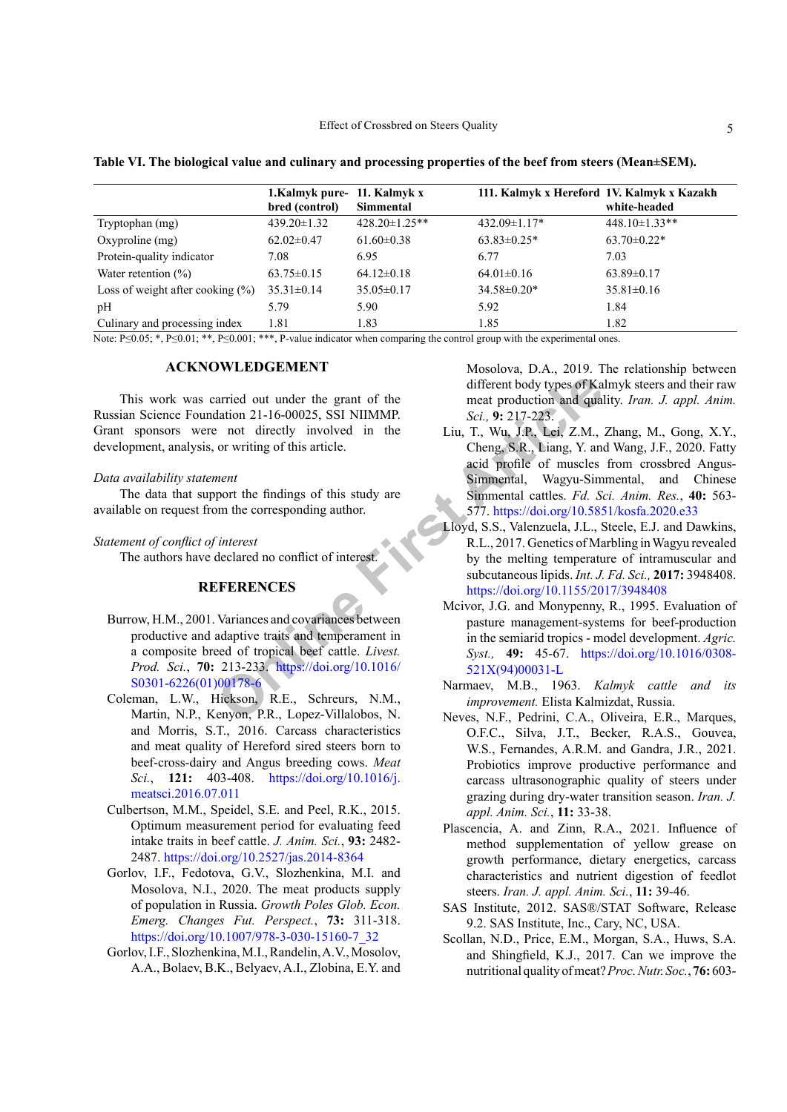|                                     | 1. Kalmyk pure- 11. Kalmyk x |                      | 111. Kalmyk x Hereford 1V. Kalmyk x Kazakh |                      |
|-------------------------------------|------------------------------|----------------------|--------------------------------------------|----------------------|
|                                     | bred (control)               | <b>Simmental</b>     |                                            | white-headed         |
| Tryptophan (mg)                     | $439.20 \pm 1.32$            | $428.20 \pm 1.25$ ** | $432.09 \pm 1.17$ *                        | $448.10 \pm 1.33$ ** |
| Oxyproline $(mg)$                   | $62.02 \pm 0.47$             | $61.60 \pm 0.38$     | $63.83 \pm 0.25$ *                         | $63.70 \pm 0.22$ *   |
| Protein-quality indicator           | 7.08                         | 6.95                 | 6.77                                       | 7.03                 |
| Water retention $(\% )$             | $63.75 \pm 0.15$             | $64.12 \pm 0.18$     | $64.01 \pm 0.16$                           | $63.89 \pm 0.17$     |
| Loss of weight after cooking $(\%)$ | $35.31 \pm 0.14$             | $35.05 \pm 0.17$     | $34.58 \pm 0.20*$                          | $35.81 \pm 0.16$     |
| pH                                  | 5.79                         | 5.90                 | 5.92                                       | 1.84                 |
| Culinary and processing index       | 1.81                         | 1.83                 | 1.85                                       | 1.82                 |

<span id="page-4-13"></span>Table VI. The biological value and culinary and processing properties of the beef from steers (Mean±SEM).

Note: P $\leq 0.05$ ; \*, P $\leq 0.01$ ; \*\*, P $\leq 0.001$ ; \*\*\*, P-value indicator when comparing the control group with the experimental ones.

## **ACKNOWLEDGEMENT**

This work was carried out under the grant of the Russian Science Foundation 21-16-00025, SSI NIIMMP. Grant sponsors were not directly involved in the development, analysis, or writing of this article.

#### Data availability statement

The data that support the findings of this study are available on request from the corresponding author.

### Statement of conflict of interest

The authors have declared no conflict of interest.

## **REFERENCES**

- <span id="page-4-6"></span>Burrow, H.M., 2001. Variances and covariances between productive and adaptive traits and temperament in a composite breed of tropical beef cattle. Livest. Prod. Sci., 70: 213-233. https://doi.org/10.1016/ S0301-6226(01)00178-6
- <span id="page-4-2"></span>Coleman, L.W., Hickson, R.E., Schreurs, N.M., Martin, N.P., Kenyon, P.R., Lopez-Villalobos, N. and Morris, S.T., 2016. Carcass characteristics and meat quality of Hereford sired steers born to beef-cross-dairy and Angus breeding cows. Meat Sci., 121: 403-408. https://doi.org/10.1016/j. meatsci.2016.07.011
- <span id="page-4-10"></span>Culbertson, M.M., Speidel, S.E. and Peel, R.K., 2015. Optimum measurement period for evaluating feed intake traits in beef cattle. J. Anim. Sci., 93: 2482-2487. https://doi.org/10.2527/jas.2014-8364
- <span id="page-4-0"></span>Gorlov, I.F., Fedotova, G.V., Slozhenkina, M.I. and Mosolova, N.I., 2020. The meat products supply of population in Russia. Growth Poles Glob. Econ. Emerg. Changes Fut. Perspect., 73: 311-318. https://doi.org/10.1007/978-3-030-15160-7 32
- <span id="page-4-11"></span>Gorlov, I.F., Slozhenkina, M.I., Randelin, A.V., Mosolov, A.A., Bolaev, B.K., Belyaev, A.I., Zlobina, E.Y. and

Mosolova, D.A., 2019. The relationship between different body types of Kalmyk steers and their raw meat production and quality. Iran. J. appl. Anim. Sci., 9: 217-223.

- <span id="page-4-4"></span>Liu, T., Wu, J.P., Lei, Z.M., Zhang, M., Gong, X.Y., Cheng, S.R., Liang, Y. and Wang, J.F., 2020. Fatty acid profile of muscles from crossbred Angus-Simmental, Wagyu-Simmental, and Chinese Simmental cattles. Fd. Sci. Anim. Res., 40: 563-577. https://doi.org/10.5851/kosfa.2020.e33
- <span id="page-4-7"></span>Lloyd, S.S., Valenzuela, J.L., Steele, E.J. and Dawkins, R.L., 2017. Genetics of Marbling in Wagyu revealed by the melting temperature of intramuscular and subcutaneous lipids. Int. J. Fd. Sci., 2017: 3948408. https://doi.org/10.1155/2017/3948408
- <span id="page-4-9"></span>Mcivor, J.G. and Monypenny, R., 1995. Evaluation of pasture management-systems for beef-production in the semiarid tropics - model development. Agric. Syst., 49: 45-67. https://doi.org/10.1016/0308-521X(94)00031-L
- <span id="page-4-1"></span>Narmaev, M.B., 1963. Kalmyk cattle and its improvement. Elista Kalmizdat, Russia.
- <span id="page-4-3"></span>Neves, N.F., Pedrini, C.A., Oliveira, E.R., Marques, O.F.C., Silva, J.T., Becker, R.A.S., Gouvea, W.S., Fernandes, A.R.M. and Gandra, J.R., 2021. Probiotics improve productive performance and carcass ultrasonographic quality of steers under grazing during dry-water transition season. Iran. J. appl. Anim. Sci., 11: 33-38.
- <span id="page-4-5"></span>Plascencia, A. and Zinn, R.A., 2021. Influence of method supplementation of yellow grease on growth performance, dietary energetics, carcass characteristics and nutrient digestion of feedlot steers. Iran. J. appl. Anim. Sci., 11: 39-46.
- <span id="page-4-8"></span>SAS Institute, 2012. SAS®/STAT Software, Release 9.2. SAS Institute, Inc., Cary, NC, USA.
- <span id="page-4-12"></span>Scollan, N.D., Price, E.M., Morgan, S.A., Huws, S.A. and Shingfield, K.J., 2017. Can we improve the nutritional quality of meat? Proc. Nutr. Soc., 76: 603-